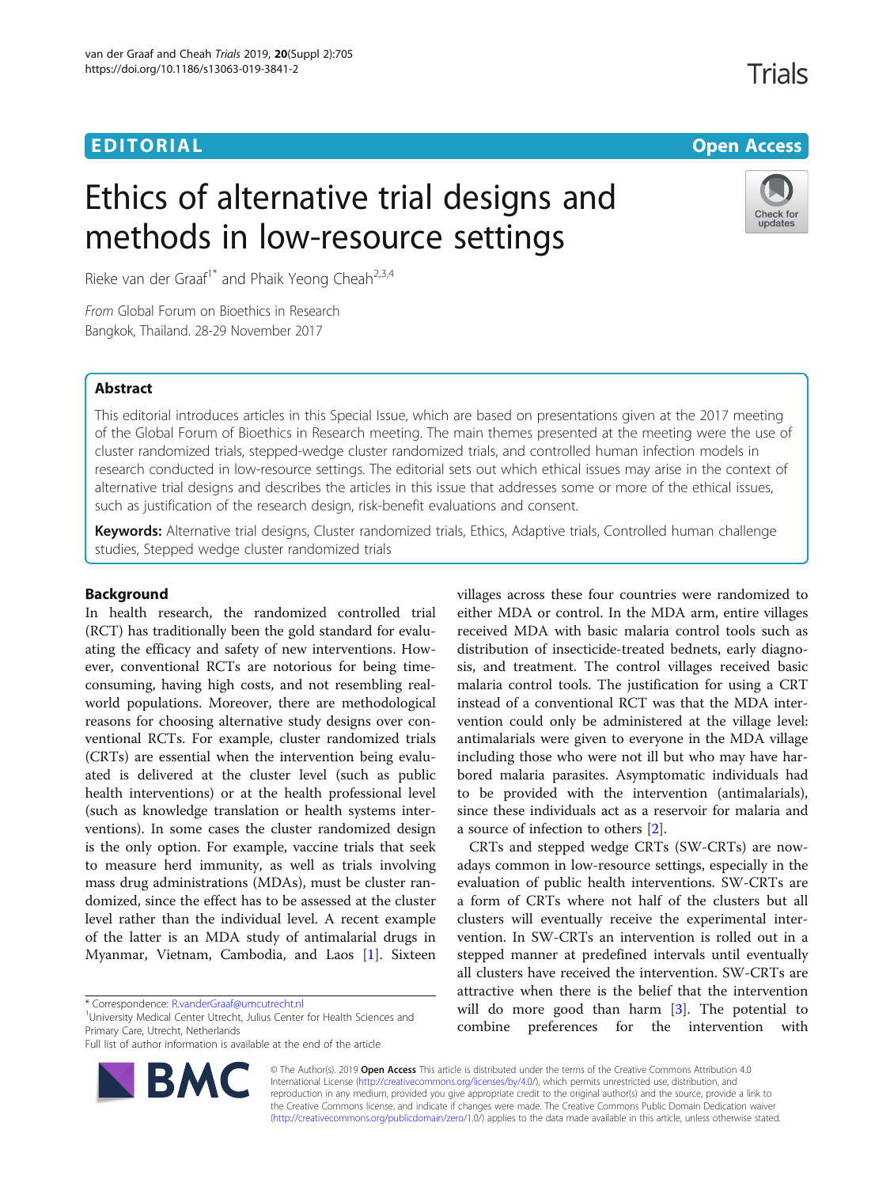# EDITORIAL AND INTERNATIONAL CONTRACT CONTRACT CONTRACT CONTRACT CONTRACT CONTRACT CONTRACT CONTRACT CONTRACT CO

# **Trials**

# Ethics of alternative trial designs and methods in low-resource settings



Rieke van der Graaf<sup>1\*</sup> and Phaik Yeong Cheah<sup>2,3,4</sup>

From Global Forum on Bioethics in Research Bangkok, Thailand. 28-29 November 2017

# Abstract

This editorial introduces articles in this Special Issue, which are based on presentations given at the 2017 meeting of the Global Forum of Bioethics in Research meeting. The main themes presented at the meeting were the use of cluster randomized trials, stepped-wedge cluster randomized trials, and controlled human infection models in research conducted in low-resource settings. The editorial sets out which ethical issues may arise in the context of alternative trial designs and describes the articles in this issue that addresses some or more of the ethical issues, such as justification of the research design, risk-benefit evaluations and consent.

Keywords: Alternative trial designs, Cluster randomized trials, Ethics, Adaptive trials, Controlled human challenge studies, Stepped wedge cluster randomized trials

# Background

In health research, the randomized controlled trial (RCT) has traditionally been the gold standard for evaluating the efficacy and safety of new interventions. However, conventional RCTs are notorious for being timeconsuming, having high costs, and not resembling realworld populations. Moreover, there are methodological reasons for choosing alternative study designs over conventional RCTs. For example, cluster randomized trials (CRTs) are essential when the intervention being evaluated is delivered at the cluster level (such as public health interventions) or at the health professional level (such as knowledge translation or health systems interventions). In some cases the cluster randomized design is the only option. For example, vaccine trials that seek to measure herd immunity, as well as trials involving mass drug administrations (MDAs), must be cluster randomized, since the effect has to be assessed at the cluster level rather than the individual level. A recent example of the latter is an MDA study of antimalarial drugs in Myanmar, Vietnam, Cambodia, and Laos [[1\]](#page-3-0). Sixteen

<sup>1</sup>University Medical Center Utrecht, Julius Center for Health Sciences and Primary Care, Utrecht, Netherlands

Full list of author information is available at the end of the article



villages across these four countries were randomized to either MDA or control. In the MDA arm, entire villages received MDA with basic malaria control tools such as distribution of insecticide-treated bednets, early diagnosis, and treatment. The control villages received basic malaria control tools. The justification for using a CRT instead of a conventional RCT was that the MDA intervention could only be administered at the village level: antimalarials were given to everyone in the MDA village including those who were not ill but who may have harbored malaria parasites. Asymptomatic individuals had to be provided with the intervention (antimalarials), since these individuals act as a reservoir for malaria and a source of infection to others [\[2](#page-3-0)].

CRTs and stepped wedge CRTs (SW-CRTs) are nowadays common in low-resource settings, especially in the evaluation of public health interventions. SW-CRTs are a form of CRTs where not half of the clusters but all clusters will eventually receive the experimental intervention. In SW-CRTs an intervention is rolled out in a stepped manner at predefined intervals until eventually all clusters have received the intervention. SW-CRTs are attractive when there is the belief that the intervention will do more good than harm [[3\]](#page-3-0). The potential to combine preferences for the intervention with

© The Author(s). 2019 **Open Access** This article is distributed under the terms of the Creative Commons Attribution 4.0 International License [\(http://creativecommons.org/licenses/by/4.0/](http://creativecommons.org/licenses/by/4.0/)), which permits unrestricted use, distribution, and reproduction in any medium, provided you give appropriate credit to the original author(s) and the source, provide a link to the Creative Commons license, and indicate if changes were made. The Creative Commons Public Domain Dedication waiver [\(http://creativecommons.org/publicdomain/zero/1.0/](http://creativecommons.org/publicdomain/zero/1.0/)) applies to the data made available in this article, unless otherwise stated.

<sup>\*</sup> Correspondence: [R.vanderGraaf@umcutrecht.nl](mailto:R.vanderGraaf@umcutrecht.nl) <sup>1</sup>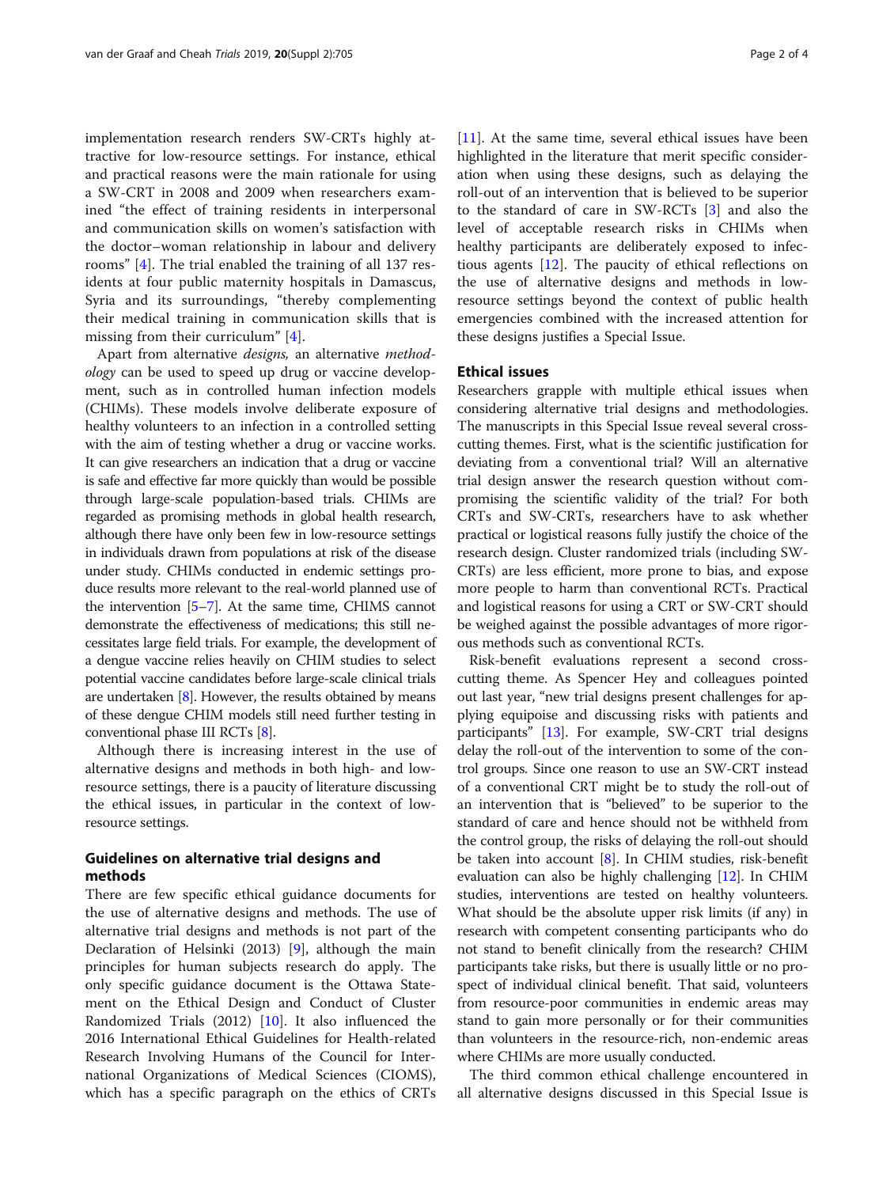implementation research renders SW-CRTs highly attractive for low-resource settings. For instance, ethical and practical reasons were the main rationale for using a SW-CRT in 2008 and 2009 when researchers examined "the effect of training residents in interpersonal and communication skills on women's satisfaction with the doctor–woman relationship in labour and delivery rooms" [[4\]](#page-3-0). The trial enabled the training of all 137 residents at four public maternity hospitals in Damascus, Syria and its surroundings, "thereby complementing their medical training in communication skills that is missing from their curriculum" [[4](#page-3-0)].

Apart from alternative designs, an alternative methodology can be used to speed up drug or vaccine development, such as in controlled human infection models (CHIMs). These models involve deliberate exposure of healthy volunteers to an infection in a controlled setting with the aim of testing whether a drug or vaccine works. It can give researchers an indication that a drug or vaccine is safe and effective far more quickly than would be possible through large-scale population-based trials. CHIMs are regarded as promising methods in global health research, although there have only been few in low-resource settings in individuals drawn from populations at risk of the disease under study. CHIMs conducted in endemic settings produce results more relevant to the real-world planned use of the intervention [\[5](#page-3-0)–[7\]](#page-3-0). At the same time, CHIMS cannot demonstrate the effectiveness of medications; this still necessitates large field trials. For example, the development of a dengue vaccine relies heavily on CHIM studies to select potential vaccine candidates before large-scale clinical trials are undertaken [\[8](#page-3-0)]. However, the results obtained by means of these dengue CHIM models still need further testing in conventional phase III RCTs [\[8\]](#page-3-0).

Although there is increasing interest in the use of alternative designs and methods in both high- and lowresource settings, there is a paucity of literature discussing the ethical issues, in particular in the context of lowresource settings.

# Guidelines on alternative trial designs and methods

There are few specific ethical guidance documents for the use of alternative designs and methods. The use of alternative trial designs and methods is not part of the Declaration of Helsinki (2013) [\[9](#page-3-0)], although the main principles for human subjects research do apply. The only specific guidance document is the Ottawa Statement on the Ethical Design and Conduct of Cluster Randomized Trials (2012) [\[10](#page-3-0)]. It also influenced the 2016 International Ethical Guidelines for Health-related Research Involving Humans of the Council for International Organizations of Medical Sciences (CIOMS), which has a specific paragraph on the ethics of CRTs [[11\]](#page-3-0). At the same time, several ethical issues have been highlighted in the literature that merit specific consideration when using these designs, such as delaying the roll-out of an intervention that is believed to be superior to the standard of care in SW-RCTs [\[3](#page-3-0)] and also the level of acceptable research risks in CHIMs when healthy participants are deliberately exposed to infectious agents [[12\]](#page-3-0). The paucity of ethical reflections on the use of alternative designs and methods in lowresource settings beyond the context of public health emergencies combined with the increased attention for these designs justifies a Special Issue.

### Ethical issues

Researchers grapple with multiple ethical issues when considering alternative trial designs and methodologies. The manuscripts in this Special Issue reveal several crosscutting themes. First, what is the scientific justification for deviating from a conventional trial? Will an alternative trial design answer the research question without compromising the scientific validity of the trial? For both CRTs and SW-CRTs, researchers have to ask whether practical or logistical reasons fully justify the choice of the research design. Cluster randomized trials (including SW-CRTs) are less efficient, more prone to bias, and expose more people to harm than conventional RCTs. Practical and logistical reasons for using a CRT or SW-CRT should be weighed against the possible advantages of more rigorous methods such as conventional RCTs.

Risk-benefit evaluations represent a second crosscutting theme. As Spencer Hey and colleagues pointed out last year, "new trial designs present challenges for applying equipoise and discussing risks with patients and participants" [[13](#page-3-0)]. For example, SW-CRT trial designs delay the roll-out of the intervention to some of the control groups. Since one reason to use an SW-CRT instead of a conventional CRT might be to study the roll-out of an intervention that is "believed" to be superior to the standard of care and hence should not be withheld from the control group, the risks of delaying the roll-out should be taken into account [[8](#page-3-0)]. In CHIM studies, risk-benefit evaluation can also be highly challenging [\[12\]](#page-3-0). In CHIM studies, interventions are tested on healthy volunteers. What should be the absolute upper risk limits (if any) in research with competent consenting participants who do not stand to benefit clinically from the research? CHIM participants take risks, but there is usually little or no prospect of individual clinical benefit. That said, volunteers from resource-poor communities in endemic areas may stand to gain more personally or for their communities than volunteers in the resource-rich, non-endemic areas where CHIMs are more usually conducted.

The third common ethical challenge encountered in all alternative designs discussed in this Special Issue is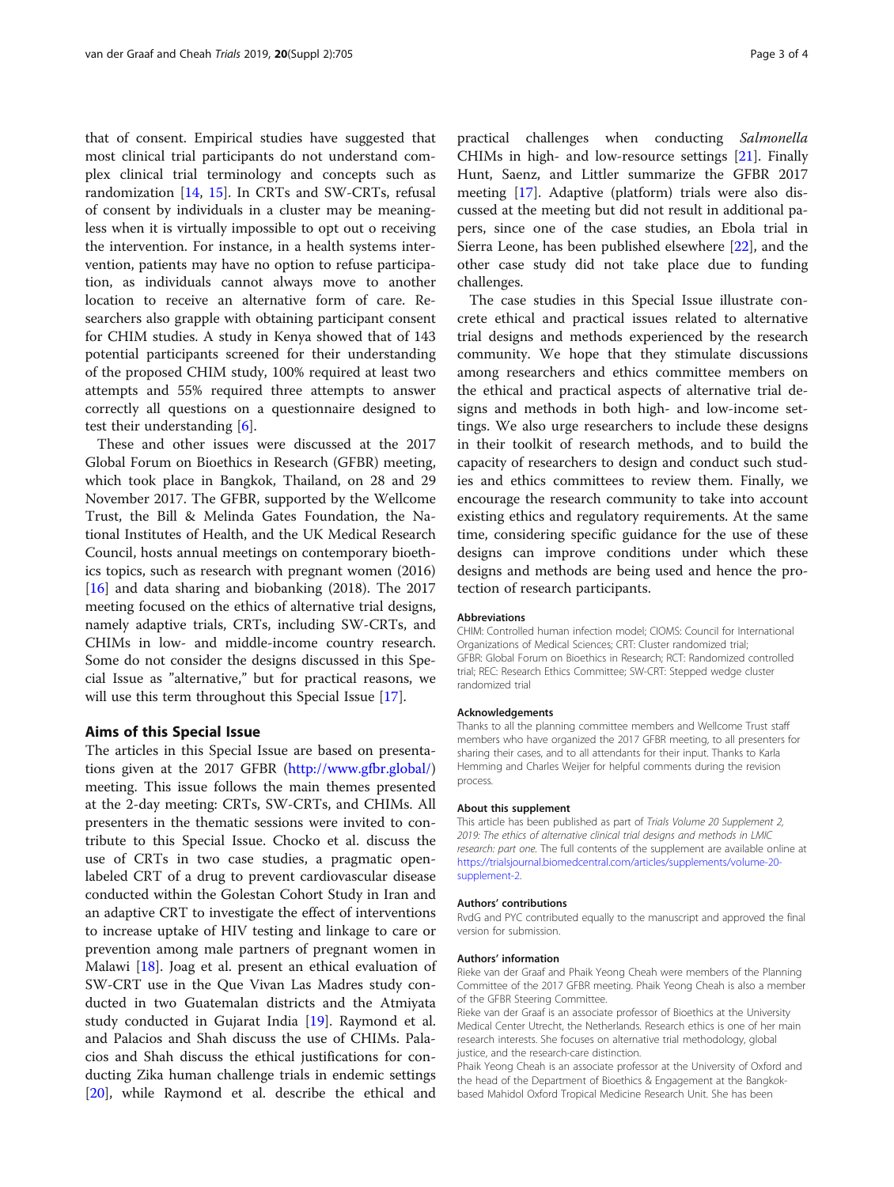that of consent. Empirical studies have suggested that most clinical trial participants do not understand complex clinical trial terminology and concepts such as randomization [\[14](#page-3-0), [15\]](#page-3-0). In CRTs and SW-CRTs, refusal of consent by individuals in a cluster may be meaningless when it is virtually impossible to opt out o receiving the intervention. For instance, in a health systems intervention, patients may have no option to refuse participation, as individuals cannot always move to another location to receive an alternative form of care. Researchers also grapple with obtaining participant consent for CHIM studies. A study in Kenya showed that of 143 potential participants screened for their understanding of the proposed CHIM study, 100% required at least two attempts and 55% required three attempts to answer correctly all questions on a questionnaire designed to test their understanding [[6\]](#page-3-0).

These and other issues were discussed at the 2017 Global Forum on Bioethics in Research (GFBR) meeting, which took place in Bangkok, Thailand, on 28 and 29 November 2017. The GFBR, supported by the Wellcome Trust, the Bill & Melinda Gates Foundation, the National Institutes of Health, and the UK Medical Research Council, hosts annual meetings on contemporary bioethics topics, such as research with pregnant women (2016) [[16\]](#page-3-0) and data sharing and biobanking (2018). The 2017 meeting focused on the ethics of alternative trial designs, namely adaptive trials, CRTs, including SW-CRTs, and CHIMs in low- and middle-income country research. Some do not consider the designs discussed in this Special Issue as "alternative," but for practical reasons, we will use this term throughout this Special Issue [[17\]](#page-3-0).

### Aims of this Special Issue

The articles in this Special Issue are based on presentations given at the 2017 GFBR (<http://www.gfbr.global/>) meeting. This issue follows the main themes presented at the 2-day meeting: CRTs, SW-CRTs, and CHIMs. All presenters in the thematic sessions were invited to contribute to this Special Issue. Chocko et al. discuss the use of CRTs in two case studies, a pragmatic openlabeled CRT of a drug to prevent cardiovascular disease conducted within the Golestan Cohort Study in Iran and an adaptive CRT to investigate the effect of interventions to increase uptake of HIV testing and linkage to care or prevention among male partners of pregnant women in Malawi [[18](#page-3-0)]. Joag et al. present an ethical evaluation of SW-CRT use in the Que Vivan Las Madres study conducted in two Guatemalan districts and the Atmiyata study conducted in Gujarat India [\[19](#page-3-0)]. Raymond et al. and Palacios and Shah discuss the use of CHIMs. Palacios and Shah discuss the ethical justifications for conducting Zika human challenge trials in endemic settings [[20\]](#page-3-0), while Raymond et al. describe the ethical and

practical challenges when conducting Salmonella CHIMs in high- and low-resource settings [\[21](#page-3-0)]. Finally Hunt, Saenz, and Littler summarize the GFBR 2017 meeting [[17](#page-3-0)]. Adaptive (platform) trials were also discussed at the meeting but did not result in additional papers, since one of the case studies, an Ebola trial in Sierra Leone, has been published elsewhere [\[22](#page-3-0)], and the other case study did not take place due to funding challenges.

The case studies in this Special Issue illustrate concrete ethical and practical issues related to alternative trial designs and methods experienced by the research community. We hope that they stimulate discussions among researchers and ethics committee members on the ethical and practical aspects of alternative trial designs and methods in both high- and low-income settings. We also urge researchers to include these designs in their toolkit of research methods, and to build the capacity of researchers to design and conduct such studies and ethics committees to review them. Finally, we encourage the research community to take into account existing ethics and regulatory requirements. At the same time, considering specific guidance for the use of these designs can improve conditions under which these designs and methods are being used and hence the protection of research participants.

#### Abbreviations

CHIM: Controlled human infection model; CIOMS: Council for International Organizations of Medical Sciences; CRT: Cluster randomized trial; GFBR: Global Forum on Bioethics in Research; RCT: Randomized controlled trial; REC: Research Ethics Committee; SW-CRT: Stepped wedge cluster randomized trial

#### Acknowledgements

Thanks to all the planning committee members and Wellcome Trust staff members who have organized the 2017 GFBR meeting, to all presenters for sharing their cases, and to all attendants for their input. Thanks to Karla Hemming and Charles Weijer for helpful comments during the revision process.

#### About this supplement

This article has been published as part of Trials Volume 20 Supplement 2, 2019: The ethics of alternative clinical trial designs and methods in LMIC research: part one. The full contents of the supplement are available online at [https://trialsjournal.biomedcentral.com/articles/supplements/volume-20](https://trialsjournal.biomedcentral.com/articles/supplements/volume-20-supplement-2) [supplement-2](https://trialsjournal.biomedcentral.com/articles/supplements/volume-20-supplement-2).

#### Authors' contributions

RvdG and PYC contributed equally to the manuscript and approved the final version for submission.

#### Authors' information

Rieke van der Graaf and Phaik Yeong Cheah were members of the Planning Committee of the 2017 GFBR meeting. Phaik Yeong Cheah is also a member of the GFBR Steering Committee.

Rieke van der Graaf is an associate professor of Bioethics at the University Medical Center Utrecht, the Netherlands. Research ethics is one of her main research interests. She focuses on alternative trial methodology, global justice, and the research-care distinction.

Phaik Yeong Cheah is an associate professor at the University of Oxford and the head of the Department of Bioethics & Engagement at the Bangkokbased Mahidol Oxford Tropical Medicine Research Unit. She has been